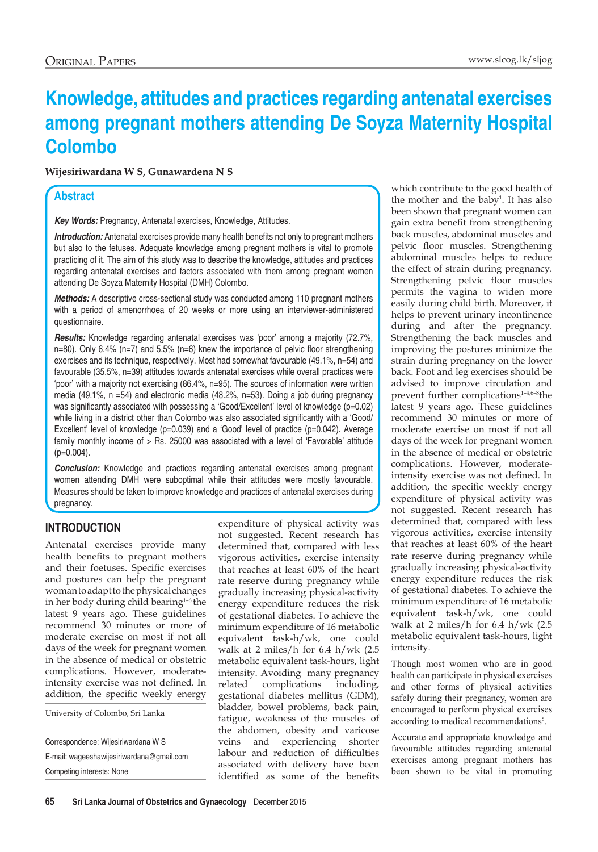# **Knowledge, attitudes and practices regarding antenatal exercises among pregnant mothers attending De Soyza Maternity Hospital Colombo**

**Wijesiriwardana W S, Gunawardena N S**

## **Abstract**

*Key Words:* Pregnancy, Antenatal exercises, Knowledge, Attitudes.

**Introduction:** Antenatal exercises provide many health benefits not only to pregnant mothers but also to the fetuses. Adequate knowledge among pregnant mothers is vital to promote practicing of it. The aim of this study was to describe the knowledge, attitudes and practices regarding antenatal exercises and factors associated with them among pregnant women attending De Soyza Maternity Hospital (DMH) Colombo.

*Methods:* A descriptive cross-sectional study was conducted among 110 pregnant mothers with a period of amenorrhoea of 20 weeks or more using an interviewer-administered questionnaire.

*Results:* Knowledge regarding antenatal exercises was 'poor' among a majority (72.7%, n=80). Only 6.4% (n=7) and 5.5% (n=6) knew the importance of pelvic floor strengthening exercises and its technique, respectively. Most had somewhat favourable (49.1%, n=54) and favourable (35.5%, n=39) attitudes towards antenatal exercises while overall practices were 'poor' with a majority not exercising (86.4%, n=95). The sources of information were written media (49.1%, n =54) and electronic media (48.2%, n=53). Doing a job during pregnancy was significantly associated with possessing a 'Good/Excellent' level of knowledge (p=0.02) while living in a district other than Colombo was also associated significantly with a 'Good/ Excellent' level of knowledge (p=0.039) and a 'Good' level of practice (p=0.042). Average family monthly income of > Rs. 25000 was associated with a level of 'Favorable' attitude  $(p=0.004)$ .

**Conclusion:** Knowledge and practices regarding antenatal exercises among pregnant women attending DMH were suboptimal while their attitudes were mostly favourable. Measures should be taken to improve knowledge and practices of antenatal exercises during pregnancy.

# **INTRODUCTION**

Antenatal exercises provide many health benefits to pregnant mothers and their foetuses. Specific exercises and postures can help the pregnant woman to adapt to the physical changes in her body during child bearing<sup>1-6</sup> the latest 9 years ago. These guidelines recommend 30 minutes or more of moderate exercise on most if not all days of the week for pregnant women in the absence of medical or obstetric complications. However, moderateintensity exercise was not defined. In addition, the specific weekly energy

University of Colombo, Sri Lanka

Correspondence: Wijesiriwardana W S E-mail: wageeshawijesiriwardana@gmail.com Competing interests: None

expenditure of physical activity was not suggested. Recent research has determined that, compared with less vigorous activities, exercise intensity that reaches at least 60% of the heart rate reserve during pregnancy while gradually increasing physical-activity energy expenditure reduces the risk of gestational diabetes. To achieve the minimum expenditure of 16 metabolic equivalent task-h/wk, one could walk at 2 miles/h for 6.4 h/wk (2.5 metabolic equivalent task-hours, light intensity. Avoiding many pregnancy related complications including, gestational diabetes mellitus (GDM), bladder, bowel problems, back pain, fatigue, weakness of the muscles of the abdomen, obesity and varicose veins and experiencing shorter labour and reduction of difficulties associated with delivery have been identified as some of the benefits

which contribute to the good health of the mother and the baby<sup>1</sup>. It has also been shown that pregnant women can gain extra benefit from strengthening back muscles, abdominal muscles and pelvic floor muscles. Strengthening abdominal muscles helps to reduce the effect of strain during pregnancy. Strengthening pelvic floor muscles permits the vagina to widen more easily during child birth. Moreover, it helps to prevent urinary incontinence during and after the pregnancy. Strengthening the back muscles and improving the postures minimize the strain during pregnancy on the lower back. Foot and leg exercises should be advised to improve circulation and prevent further complications<sup>1-4,6-8</sup>the latest 9 years ago. These guidelines recommend 30 minutes or more of moderate exercise on most if not all days of the week for pregnant women in the absence of medical or obstetric complications. However, moderateintensity exercise was not defined. In addition, the specific weekly energy expenditure of physical activity was not suggested. Recent research has determined that, compared with less vigorous activities, exercise intensity that reaches at least 60% of the heart rate reserve during pregnancy while gradually increasing physical-activity energy expenditure reduces the risk of gestational diabetes. To achieve the minimum expenditure of 16 metabolic equivalent task-h/wk, one could walk at 2 miles/h for 6.4 h/wk (2.5 metabolic equivalent task-hours, light intensity.

Though most women who are in good health can participate in physical exercises and other forms of physical activities safely during their pregnancy, women are encouraged to perform physical exercises according to medical recommendations<sup>5</sup>.

Accurate and appropriate knowledge and favourable attitudes regarding antenatal exercises among pregnant mothers has been shown to be vital in promoting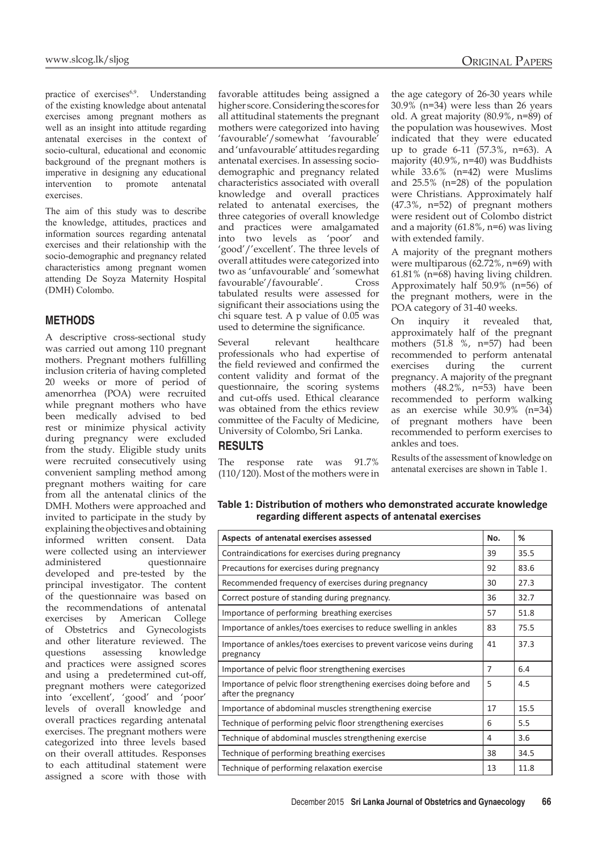practice of exercises<sup>6,9</sup>. Understanding of the existing knowledge about antenatal exercises among pregnant mothers as well as an insight into attitude regarding antenatal exercises in the context of socio-cultural, educational and economic background of the pregnant mothers is imperative in designing any educational intervention to promote antenatal exercises.

The aim of this study was to describe the knowledge, attitudes, practices and information sources regarding antenatal exercises and their relationship with the socio-demographic and pregnancy related characteristics among pregnant women attending De Soyza Maternity Hospital (DMH) Colombo.

## **METHODS**

A descriptive cross-sectional study was carried out among 110 pregnant mothers. Pregnant mothers fulfilling inclusion criteria of having completed 20 weeks or more of period of amenorrhea (POA) were recruited while pregnant mothers who have been medically advised to bed rest or minimize physical activity during pregnancy were excluded from the study. Eligible study units were recruited consecutively using convenient sampling method among pregnant mothers waiting for care from all the antenatal clinics of the DMH. Mothers were approached and invited to participate in the study by explaining the objectives and obtaining informed written consent. Data were collected using an interviewer administered questionnaire developed and pre-tested by the principal investigator. The content of the questionnaire was based on the recommendations of antenatal exercises by American College of Obstetrics and Gynecologists and other literature reviewed. The questions assessing knowledge and practices were assigned scores and using a predetermined cut-off, pregnant mothers were categorized into 'excellent', 'good' and 'poor' levels of overall knowledge and overall practices regarding antenatal exercises. The pregnant mothers were categorized into three levels based on their overall attitudes. Responses to each attitudinal statement were assigned a score with those with favorable attitudes being assigned a higher score. Considering the scores for all attitudinal statements the pregnant mothers were categorized into having 'favourable'/somewhat 'favourable' and 'unfavourable' attitudes regarding antenatal exercises. In assessing sociodemographic and pregnancy related characteristics associated with overall knowledge and overall practices related to antenatal exercises, the three categories of overall knowledge and practices were amalgamated into two levels as 'poor' and 'good'/'excellent'. The three levels of overall attitudes were categorized into two as 'unfavourable' and 'somewhat favourable'/favourable'. Cross tabulated results were assessed for significant their associations using the chi square test. A p value of 0.05 was used to determine the significance.

Several relevant healthcare professionals who had expertise of the field reviewed and confirmed the content validity and format of the questionnaire, the scoring systems and cut-offs used. Ethical clearance was obtained from the ethics review committee of the Faculty of Medicine, University of Colombo, Sri Lanka.

## **RESULTS**

The response rate was 91.7% (110/120). Most of the mothers were in

the age category of 26-30 years while 30.9% (n=34) were less than 26 years old. A great majority (80.9%, n=89) of the population was housewives. Most indicated that they were educated up to grade 6-11 (57.3%, n=63). A majority (40.9%, n=40) was Buddhists while 33.6% (n=42) were Muslims and 25.5% (n=28) of the population were Christians. Approximately half (47.3%, n=52) of pregnant mothers were resident out of Colombo district and a majority (61.8%, n=6) was living with extended family.

A majority of the pregnant mothers were multiparous (62.72%, n=69) with 61.81% (n=68) having living children. Approximately half 50.9% (n=56) of the pregnant mothers, were in the POA category of 31-40 weeks.

On inquiry it revealed that, approximately half of the pregnant mothers (51.8 %, n=57) had been recommended to perform antenatal exercises during the current pregnancy. A majority of the pregnant mothers (48.2%, n=53) have been recommended to perform walking as an exercise while 30.9% (n=34) of pregnant mothers have been recommended to perform exercises to ankles and toes.

Results of the assessment of knowledge on antenatal exercises are shown in Table 1.

**Table 1: Distribution of mothers who demonstrated accurate knowledge regarding different aspects of antenatal exercises** 

| Aspects of antenatal exercises assessed                                                    | No. | ℅    |
|--------------------------------------------------------------------------------------------|-----|------|
| Contraindications for exercises during pregnancy                                           | 39  | 35.5 |
| Precautions for exercises during pregnancy                                                 | 92  | 83.6 |
| Recommended frequency of exercises during pregnancy                                        | 30  | 27.3 |
| Correct posture of standing during pregnancy.                                              | 36  | 32.7 |
| Importance of performing breathing exercises                                               | 57  | 51.8 |
| Importance of ankles/toes exercises to reduce swelling in ankles                           | 83  | 75.5 |
| Importance of ankles/toes exercises to prevent varicose veins during<br>pregnancy          | 41  | 37.3 |
| Importance of pelvic floor strengthening exercises                                         | 7   | 6.4  |
| Importance of pelvic floor strengthening exercises doing before and<br>after the pregnancy | 5   | 4.5  |
| Importance of abdominal muscles strengthening exercise                                     | 17  | 15.5 |
| Technique of performing pelvic floor strengthening exercises                               | 6   | 5.5  |
| Technique of abdominal muscles strengthening exercise                                      | 4   | 3.6  |
| Technique of performing breathing exercises                                                | 38  | 34.5 |
| Technique of performing relaxation exercise                                                | 13  | 11.8 |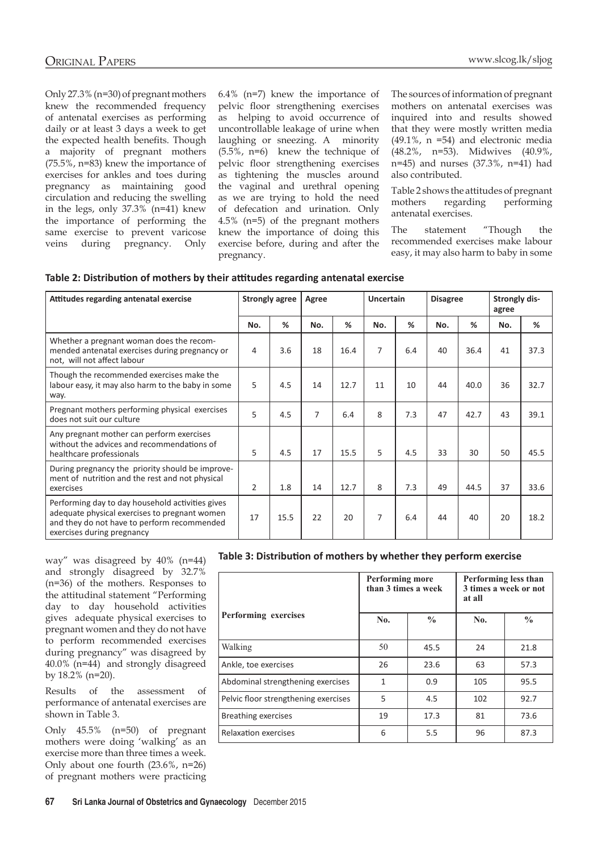Only 27.3% (n=30) of pregnant mothers knew the recommended frequency of antenatal exercises as performing daily or at least 3 days a week to get the expected health benefits. Though a majority of pregnant mothers (75.5%, n=83) knew the importance of exercises for ankles and toes during pregnancy as maintaining good circulation and reducing the swelling in the legs, only 37.3% (n=41) knew the importance of performing the same exercise to prevent varicose veins during pregnancy. Only 6.4% (n=7) knew the importance of pelvic floor strengthening exercises as helping to avoid occurrence of uncontrollable leakage of urine when laughing or sneezing. A minority (5.5%, n=6) knew the technique of pelvic floor strengthening exercises as tightening the muscles around the vaginal and urethral opening as we are trying to hold the need of defecation and urination. Only 4.5% (n=5) of the pregnant mothers knew the importance of doing this exercise before, during and after the pregnancy.

The sources of information of pregnant mothers on antenatal exercises was inquired into and results showed that they were mostly written media (49.1%, n =54) and electronic media (48.2%, n=53). Midwives (40.9%, n=45) and nurses (37.3%, n=41) had also contributed.

Table 2 shows the attitudes of pregnant mothers regarding performing antenatal exercises.

The statement "Though the recommended exercises make labour easy, it may also harm to baby in some

| Attitudes regarding antenatal exercise                                                                                                                                         | <b>Strongly agree</b> |      | Agree |      | <b>Uncertain</b> |     | <b>Disagree</b> |      | Strongly dis-<br>agree |      |
|--------------------------------------------------------------------------------------------------------------------------------------------------------------------------------|-----------------------|------|-------|------|------------------|-----|-----------------|------|------------------------|------|
|                                                                                                                                                                                | No.                   | %    | No.   | %    | No.              | %   | No.             | ℅    | No.                    | %    |
| Whether a pregnant woman does the recom-<br>mended antenatal exercises during pregnancy or<br>not, will not affect labour                                                      | 4                     | 3.6  | 18    | 16.4 | 7                | 6.4 | 40              | 36.4 | 41                     | 37.3 |
| Though the recommended exercises make the<br>labour easy, it may also harm to the baby in some<br>way.                                                                         | 5                     | 4.5  | 14    | 12.7 | 11               | 10  | 44              | 40.0 | 36                     | 32.7 |
| Pregnant mothers performing physical exercises<br>does not suit our culture                                                                                                    | 5                     | 4.5  | 7     | 6.4  | 8                | 7.3 | 47              | 42.7 | 43                     | 39.1 |
| Any pregnant mother can perform exercises<br>without the advices and recommendations of<br>healthcare professionals                                                            | 5.                    | 4.5  | 17    | 15.5 | 5.               | 4.5 | 33              | 30   | 50                     | 45.5 |
| During pregnancy the priority should be improve-<br>ment of nutrition and the rest and not physical<br>exercises                                                               | 2                     | 1.8  | 14    | 12.7 | 8                | 7.3 | 49              | 44.5 | 37                     | 33.6 |
| Performing day to day household activities gives<br>adequate physical exercises to pregnant women<br>and they do not have to perform recommended<br>exercises during pregnancy | 17                    | 15.5 | 22    | 20   | 7                | 6.4 | 44              | 40   | 20                     | 18.2 |

way" was disagreed by 40% (n=44) and strongly disagreed by 32.7% (n=36) of the mothers. Responses to the attitudinal statement "Performing day to day household activities gives adequate physical exercises to pregnant women and they do not have to perform recommended exercises during pregnancy" was disagreed by 40.0% (n=44) and strongly disagreed by 18.2% (n=20).

Results of the assessment of performance of antenatal exercises are shown in Table 3.

Only 45.5% (n=50) of pregnant mothers were doing 'walking' as an exercise more than three times a week. Only about one fourth (23.6%, n=26) of pregnant mothers were practicing

| Table 3: Distribution of mothers by whether they perform exercise |  |  |
|-------------------------------------------------------------------|--|--|
|-------------------------------------------------------------------|--|--|

|                                      | <b>Performing more</b><br>than 3 times a week |               | Performing less than<br>3 times a week or not<br>at all |               |  |
|--------------------------------------|-----------------------------------------------|---------------|---------------------------------------------------------|---------------|--|
| Performing exercises                 | No.                                           | $\frac{0}{0}$ | No.                                                     | $\frac{0}{0}$ |  |
| Walking                              | 50                                            | 45.5          | 24                                                      | 21.8          |  |
| Ankle, toe exercises                 | 26                                            | 23.6          | 63                                                      | 57.3          |  |
| Abdominal strengthening exercises    | 1                                             | 0.9           | 105                                                     | 95.5          |  |
| Pelvic floor strengthening exercises | 5                                             | 4.5           | 102                                                     | 92.7          |  |
| <b>Breathing exercises</b>           | 19                                            | 17.3          | 81                                                      | 73.6          |  |
| Relaxation exercises                 | 6                                             | 5.5           | 96                                                      | 87.3          |  |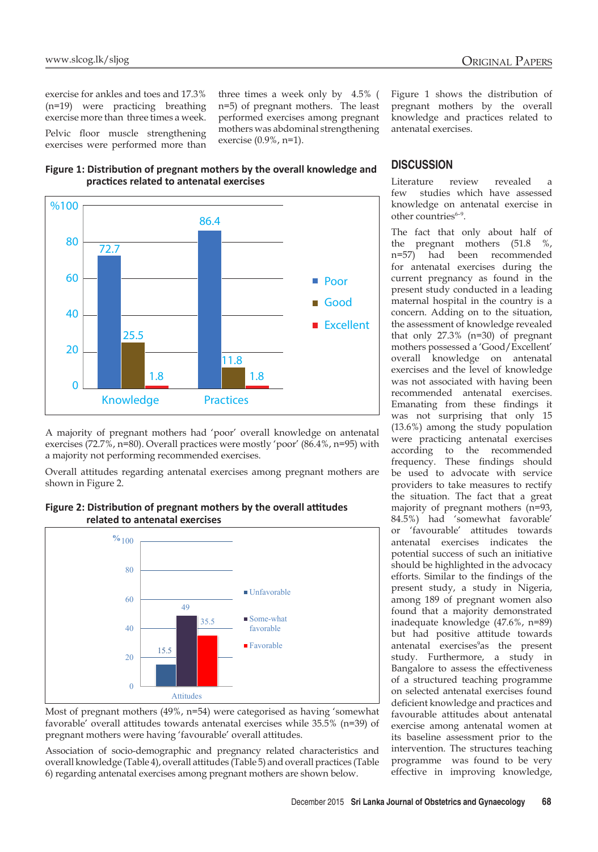exercise for ankles and toes and 17.3% (n=19) were practicing breathing exercise more than three times a week. Pelvic floor muscle strengthening exercises were performed more than three times a week only by 4.5% ( n=5) of pregnant mothers. The least performed exercises among pregnant mothers was abdominal strengthening exercise (0.9%, n=1).





A majority of pregnant mothers had 'poor' overall knowledge on antenatal exercises (72.7%, n=80). Overall practices were mostly 'poor' (86.4%, n=95) with a majority not performing recommended exercises.

Overall attitudes regarding antenatal exercises among pregnant mothers are shown in Figure 2.





pregnant mothers were having 'favourable' overall attitudes. Most of pregnant mothers (49%, n=54) were categorised as having 'somewhat favorable' overall attitudes towards antenatal exercises while 35.5% (n=39) of

Association of socio-demographic and pregnancy related characteristics and 6) regarding antenatal exercises among pregnant mothers are shown below. overall knowledge (Table 4), overall attitudes (Table 5) and overall practices (Table

Figure 1 shows the distribution of pregnant mothers by the overall knowledge and practices related to antenatal exercises.

# **DISCUSSION**

Literature review revealed a few studies which have assessed knowledge on antenatal exercise in other countries<sup>6-9</sup>.

The fact that only about half of the pregnant mothers (51.8 %, n=57) had been recommended for antenatal exercises during the current pregnancy as found in the present study conducted in a leading maternal hospital in the country is a concern. Adding on to the situation, the assessment of knowledge revealed that only 27.3% (n=30) of pregnant mothers possessed a 'Good/Excellent' overall knowledge on antenatal exercises and the level of knowledge was not associated with having been recommended antenatal exercises. Emanating from these findings it was not surprising that only 15 (13.6%) among the study population were practicing antenatal exercises according to the recommended frequency. These findings should be used to advocate with service providers to take measures to rectify the situation. The fact that a great majority of pregnant mothers (n=93, 84.5%) had 'somewhat favorable' or 'favourable' attitudes towards antenatal exercises indicates the potential success of such an initiative should be highlighted in the advocacy efforts. Similar to the findings of the present study, a study in Nigeria, among 189 of pregnant women also found that a majority demonstrated inadequate knowledge (47.6%, n=89) but had positive attitude towards antenatal exercises<sup>9</sup>as the present study. Furthermore, a study in Bangalore to assess the effectiveness of a structured teaching programme on selected antenatal exercises found deficient knowledge and practices and favourable attitudes about antenatal exercise among antenatal women at its baseline assessment prior to the intervention. The structures teaching programme was found to be very effective in improving knowledge,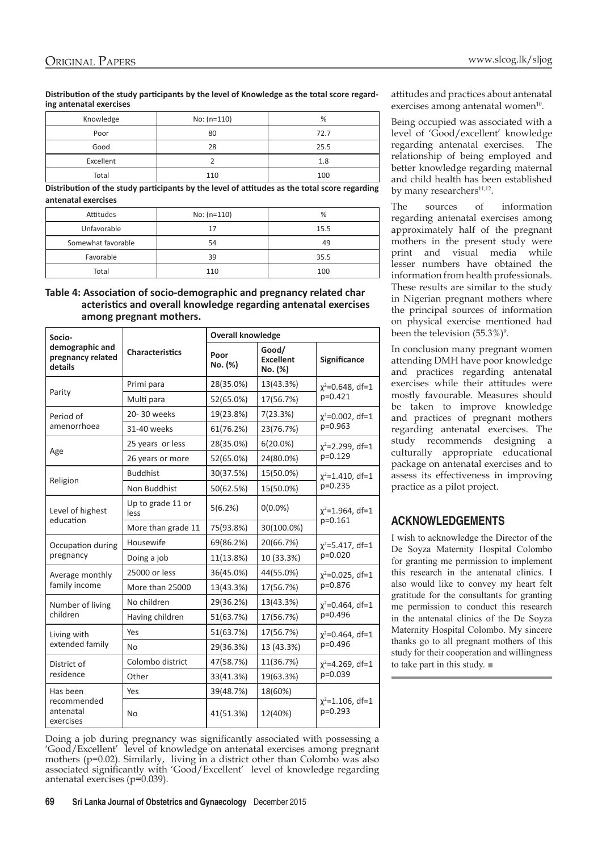**Distribution of the study participants by the level of Knowledge as the total score regarding antenatal exercises**

| Knowledge | No: $(n=110)$ | %    |
|-----------|---------------|------|
| Poor      | 80            | 72.7 |
| Good      | 28            | 25.5 |
| Excellent |               | 1.8  |
| Total     | 110           | 100  |

**Distribution of the study participants by the level of attitudes as the total score regarding antenatal exercises**

| Attitudes          | $No: (n=110)$ | %    |
|--------------------|---------------|------|
| Unfavorable        |               | 15.5 |
| Somewhat favorable | 54            | 49   |
| Favorable          | 39            | 35.5 |
| Total              | 110           | 100  |

#### **Table 4: Association of socio-demographic and pregnancy related char acteristics and overall knowledge regarding antenatal exercises among pregnant mothers.**

| Socio-                                          | <b>Overall knowledge</b>  |                 |                                      |                                      |  |
|-------------------------------------------------|---------------------------|-----------------|--------------------------------------|--------------------------------------|--|
| demographic and<br>pregnancy related<br>details | <b>Characteristics</b>    | Poor<br>No. (%) | Good/<br><b>Excellent</b><br>No. (%) | Significance                         |  |
|                                                 | Primi para                | 28(35.0%)       | 13(43.3%)                            | $\chi^2$ =0.648, df=1                |  |
| Parity                                          | Multi para                | 52(65.0%)       | 17(56.7%)                            | $p=0.421$                            |  |
| Period of                                       | 20-30 weeks               | 19(23.8%)       | 7(23.3%)                             | $\chi^2$ =0.002, df=1                |  |
| amenorrhoea                                     | 31-40 weeks               | 61(76.2%)       | 23(76.7%)                            | $p=0.963$                            |  |
|                                                 | 25 years or less          | 28(35.0%)       | $6(20.0\%)$                          | $x^2$ =2.299, df=1                   |  |
| Age                                             | 26 years or more          | 52(65.0%)       | 24(80.0%)                            | $p=0.129$                            |  |
|                                                 | <b>Buddhist</b>           | 30(37.5%)       | 15(50.0%)                            | $x^2$ =1.410, df=1                   |  |
| Religion                                        | Non Buddhist              | 50(62.5%)       | 15(50.0%)                            | $p=0.235$                            |  |
| Level of highest<br>education                   | Up to grade 11 or<br>less | 5(6.2%)         | $0(0.0\%)$                           | $\chi^2$ =1.964, df=1<br>$p = 0.161$ |  |
|                                                 | More than grade 11        | 75(93.8%)       | 30(100.0%)                           |                                      |  |
| Occupation during                               | Housewife                 | 69(86.2%)       | 20(66.7%)                            | $\chi^2$ =5.417, df=1                |  |
| pregnancy                                       | Doing a job               | 11(13.8%)       | 10 (33.3%)                           | $p=0.020$                            |  |
| Average monthly                                 | 25000 or less             | 36(45.0%)       | 44(55.0%)                            | $x^2$ =0.025, df=1                   |  |
| family income                                   | More than 25000           | 13(43.3%)       | 17(56.7%)                            | p=0.876                              |  |
| Number of living                                | No children               | 29(36.2%)       | 13(43.3%)                            | $x^2$ =0.464, df=1                   |  |
| children                                        | Having children           | 51(63.7%)       | 17(56.7%)                            | p=0.496                              |  |
| Living with                                     | Yes                       | 51(63.7%)       | 17(56.7%)                            | $\chi^2$ =0.464, df=1                |  |
| extended family                                 | No                        | 29(36.3%)       | 13 (43.3%)                           | p=0.496                              |  |
| District of<br>residence                        | Colombo district          | 47(58.7%)       | 11(36.7%)                            | $x^2$ =4.269, df=1                   |  |
|                                                 | Other                     | 33(41.3%)       | 19(63.3%)                            | p=0.039                              |  |
| Has been                                        | Yes                       | 39(48.7%)       | 18(60%)                              |                                      |  |
| recommended<br>antenatal<br>exercises           | No                        | 41(51.3%)       | 12(40%)                              | $\chi^2$ =1.106, df=1<br>$p=0.293$   |  |

attitudes and practices about antenatal exercises among antenatal women $10$ .

Being occupied was associated with a level of 'Good/excellent' knowledge regarding antenatal exercises. The relationship of being employed and better knowledge regarding maternal and child health has been established by many researchers<sup>11,12</sup>.

The sources of information regarding antenatal exercises among approximately half of the pregnant mothers in the present study were print and visual media while lesser numbers have obtained the information from health professionals. These results are similar to the study in Nigerian pregnant mothers where the principal sources of information on physical exercise mentioned had been the television  $(55.3\%)^9$ .

In conclusion many pregnant women attending DMH have poor knowledge and practices regarding antenatal exercises while their attitudes were mostly favourable. Measures should be taken to improve knowledge and practices of pregnant mothers regarding antenatal exercises. The study recommends designing a culturally appropriate educational package on antenatal exercises and to assess its effectiveness in improving practice as a pilot project.

# **ACKNOWLEDGEMENTS**

I wish to acknowledge the Director of the De Soyza Maternity Hospital Colombo for granting me permission to implement this research in the antenatal clinics. I also would like to convey my heart felt gratitude for the consultants for granting me permission to conduct this research in the antenatal clinics of the De Soyza Maternity Hospital Colombo. My sincere thanks go to all pregnant mothers of this study for their cooperation and willingness to take part in this study. ■

Doing a job during pregnancy was significantly associated with possessing a 'Good/Excellent' level of knowledge on antenatal exercises among pregnant mothers (p=0.02). Similarly, living in a district other than Colombo was also associated significantly with 'Good/Excellent' level of knowledge regarding antenatal exercises (p=0.039).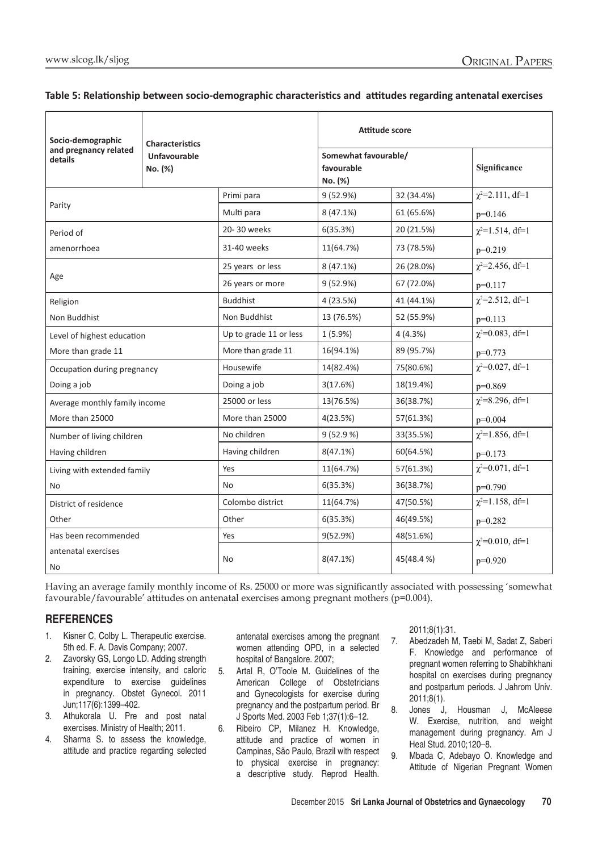## **Table 5: Relationship between socio-demographic characteristics and attitudes regarding antenatal exercises**

| Socio-demographic                | <b>Characteristics</b>         |                        | Attitude score                                |            |                         |
|----------------------------------|--------------------------------|------------------------|-----------------------------------------------|------------|-------------------------|
| and pregnancy related<br>details | <b>Unfavourable</b><br>No. (%) |                        | Somewhat favourable/<br>favourable<br>No. (%) |            | Significance            |
|                                  |                                | Primi para             | 9 (52.9%)                                     | 32 (34.4%) | $\chi^2 = 2.111$ , df=1 |
| Parity                           |                                | Multi para             | 8(47.1%)                                      | 61 (65.6%) | $p=0.146$               |
| Period of                        |                                | 20-30 weeks            | 6(35.3%)                                      | 20 (21.5%) | $\chi^2$ =1.514, df=1   |
| amenorrhoea                      |                                | 31-40 weeks            | 11(64.7%)                                     | 73 (78.5%) | $p=0.219$               |
|                                  |                                | 25 years or less       | 8 (47.1%)                                     | 26 (28.0%) | $\chi^2$ =2.456, df=1   |
| Age                              |                                | 26 years or more       | 9(52.9%)                                      | 67 (72.0%) | $p=0.117$               |
| Religion                         |                                | <b>Buddhist</b>        | 4 (23.5%)                                     | 41 (44.1%) | $\chi^2 = 2.512$ , df=1 |
| Non Buddhist                     |                                | Non Buddhist           | 13 (76.5%)                                    | 52 (55.9%) | $p=0.113$               |
| Level of highest education       |                                | Up to grade 11 or less | 1 (5.9%)                                      | 4(4.3%)    | $\chi^2 = 0.083$ , df=1 |
| More than grade 11               |                                | More than grade 11     | 16(94.1%)                                     | 89 (95.7%) | $p=0.773$               |
| Occupation during pregnancy      |                                | Housewife              | 14(82.4%)                                     | 75(80.6%)  | $\chi^2 = 0.027$ , df=1 |
| Doing a job                      |                                | Doing a job            | 3(17.6%)                                      | 18(19.4%)  | $p=0.869$               |
| Average monthly family income    |                                | 25000 or less          | 13(76.5%)                                     | 36(38.7%)  | $\chi^2 = 8.296$ , df=1 |
| More than 25000                  |                                | More than 25000        | 4(23.5%)                                      | 57(61.3%)  | $p=0.004$               |
| Number of living children        |                                | No children            | 9(52.9%)                                      | 33(35.5%)  | $\chi^2$ =1.856, df=1   |
| Having children                  |                                | Having children        | 8(47.1%)                                      | 60(64.5%)  | $p=0.173$               |
| Living with extended family      |                                | Yes                    | 11(64.7%)                                     | 57(61.3%)  | $\chi^2 = 0.071$ , df=1 |
| N <sub>o</sub>                   |                                | No                     | 6(35.3%)                                      | 36(38.7%)  | $p=0.790$               |
| District of residence            |                                | Colombo district       | 11(64.7%)                                     | 47(50.5%)  | $\chi^2$ =1.158, df=1   |
| Other                            |                                | Other                  | 6(35.3%)                                      | 46(49.5%)  | $p=0.282$               |
| Has been recommended             |                                | Yes                    | 9(52.9%)                                      | 48(51.6%)  | $\chi^2 = 0.010$ , df=1 |
| antenatal exercises<br>No        |                                | No                     | 8(47.1%)                                      | 45(48.4%)  | p=0.920                 |

Having an average family monthly income of Rs. 25000 or more was significantly associated with possessing 'somewhat favourable/favourable' attitudes on antenatal exercises among pregnant mothers (p=0.004).

# **REFERENCES**

- 1. Kisner C, Colby L. Therapeutic exercise. 5th ed. F. A. Davis Company; 2007.
- 2. Zavorsky GS, Longo LD. Adding strength training, exercise intensity, and caloric expenditure to exercise guidelines in pregnancy. Obstet Gynecol. 2011 Jun;117(6):1399–402.
- 3. Athukorala U. Pre and post natal exercises. Ministry of Health; 2011.
- 4. Sharma S. to assess the knowledge, attitude and practice regarding selected

antenatal exercises among the pregnant women attending OPD, in a selected hospital of Bangalore. 2007;

- 5. Artal R, O'Toole M. Guidelines of the American College of Obstetricians and Gynecologists for exercise during pregnancy and the postpartum period. Br J Sports Med. 2003 Feb 1;37(1):6–12.
- 6. Ribeiro CP, Milanez H. Knowledge, attitude and practice of women in Campinas, São Paulo, Brazil with respect to physical exercise in pregnancy: a descriptive study. Reprod Health.

2011;8(1):31.

- 7. Abedzadeh M, Taebi M, Sadat Z, Saberi F. Knowledge and performance of pregnant women referring to Shabihkhani hospital on exercises during pregnancy and postpartum periods. J Jahrom Univ. 2011;8(1).
- 8. Jones J, Housman J, McAleese W. Exercise, nutrition, and weight management during pregnancy. Am J Heal Stud. 2010;120–8.
- 9. Mbada C, Adebayo O. Knowledge and Attitude of Nigerian Pregnant Women